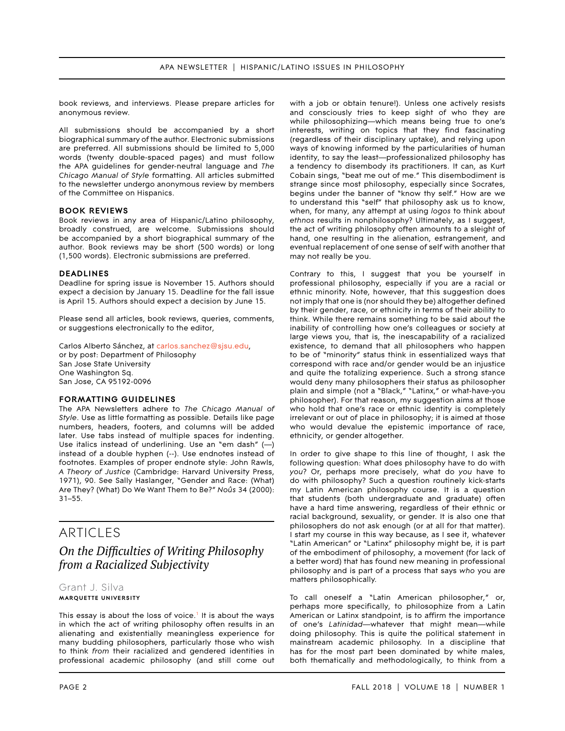book reviews, and interviews. Please prepare articles for anonymous review.

All submissions should be accompanied by a short biographical summary of the author. Electronic submissions are preferred. All submissions should be limited to 5,000 words (twenty double-spaced pages) and must follow the APA guidelines for gender-neutral language and *The Chicago Manual of Style* formatting. All articles submitted to the newsletter undergo anonymous review by members of the Committee on Hispanics.

### **BOOK REVIEWS**

Book reviews in any area of Hispanic/Latino philosophy, broadly construed, are welcome. Submissions should be accompanied by a short biographical summary of the author. Book reviews may be short (500 words) or long (1,500 words). Electronic submissions are preferred.

#### **DEADLINES**

Deadline for spring issue is November 15. Authors should expect a decision by January 15. Deadline for the fall issue is April 15. Authors should expect a decision by June 15.

Please send all articles, book reviews, queries, comments, or suggestions electronically to the editor,

Carlos Alberto Sánchez, at [carlos.sanchez@sjsu.edu,](mailto:carlos.sanchez%40sjsu.edu?subject=) or by post: Department of Philosophy San Jose State University One Washington Sq. San Jose, CA 95192-0096

#### **FORMATTING GUIDELINES**

The APA Newsletters adhere to *The Chicago Manual of Style*. Use as little formatting as possible. Details like page numbers, headers, footers, and columns will be added later. Use tabs instead of multiple spaces for indenting. Use italics instead of underlining. Use an "em dash" (—) instead of a double hyphen (--). Use endnotes instead of footnotes. Examples of proper endnote style: John Rawls, *A Theory of Justice* (Cambridge: Harvard University Press, 1971), 90. See Sally Haslanger, "Gender and Race: (What) Are They? (What) Do We Want Them to Be?" *Noûs* 34 (2000): 31–55.

## ARTICLES

# *2DIfficulties of Writing Philosophy <u>from a Racialized Subjectivity</u>*

## Grant J. Silva **MARQUETTE UNIVERSITY**

This essay is about the loss of voice.<sup>1</sup> It is about the ways in which the act of writing philosophy often results in an alienating and existentially meaningless experience for many budding philosophers, particularly those who wish to think *from* their racialized and gendered identities in professional academic philosophy (and still come out

with a job or obtain tenure!). Unless one actively resists and consciously tries to keep sight of who they are while philosophizing—which means being true to one's interests, writing on topics that they find fascinating (regardless of their disciplinary uptake), and relying upon ways of knowing informed by the particularities of human identity, to say the least—professionalized philosophy has a tendency to disembody its practitioners. It can, as Kurt Cobain sings, "beat me out of me." This disembodiment is strange since most philosophy, especially since Socrates, begins under the banner of "know thy self." How are we to understand this "self" that philosophy ask us to know, when, for many, any attempt at using *logos* to think about *ethnos* results in nonphilosophy? Ultimately, as I suggest, the act of writing philosophy often amounts to a sleight of hand, one resulting in the alienation, estrangement, and eventual replacement of one sense of self with another that may not really be you.

Contrary to this, I suggest that you be yourself in professional philosophy, especially if you are a racial or ethnic minority. Note, however, that this suggestion does not imply that one is (nor should they be) altogether defined by their gender, race, or ethnicity in terms of their ability to think. While there remains something to be said about the inability of controlling how one's colleagues or society at large views you, that is, the inescapability of a racialized existence, to demand that all philosophers who happen to be of "minority" status think in essentialized ways that correspond with race and/or gender would be an injustice and quite the totalizing experience. Such a strong stance would deny many philosophers their status as philosopher plain and simple (not a "Black," "Latinx," or what-have-you philosopher). For that reason, my suggestion aims at those who hold that one's race or ethnic identity is completely irrelevant or out of place in philosophy; it is aimed at those who would devalue the epistemic importance of race, ethnicity, or gender altogether.

In order to give shape to this line of thought, I ask the following question: What does philosophy have to do with *you*? Or, perhaps more precisely, what do *you* have to do with philosophy? Such a question routinely kick-starts my Latin American philosophy course. It is a question that students (both undergraduate and graduate) often have a hard time answering, regardless of their ethnic or racial background, sexuality, or gender. It is also one that philosophers do not ask enough (or at all for that matter). I start my course in this way because, as I see it, whatever "Latin American" or "Latinx" philosophy might be, it is part of the embodiment of philosophy, a movement (for lack of a better word) that has found new meaning in professional philosophy and is part of a process that says *who* you are matters philosophically.

To call oneself a "Latin American philosopher," or, perhaps more specifically, to philosophize from a Latin American or Latinx standpoint, is to affirm the importance of one's *Latinidad*—whatever that might mean—while doing philosophy. This is quite the political statement in mainstream academic philosophy. In a discipline that has for the most part been dominated by white males, both thematically and methodologically, to think from a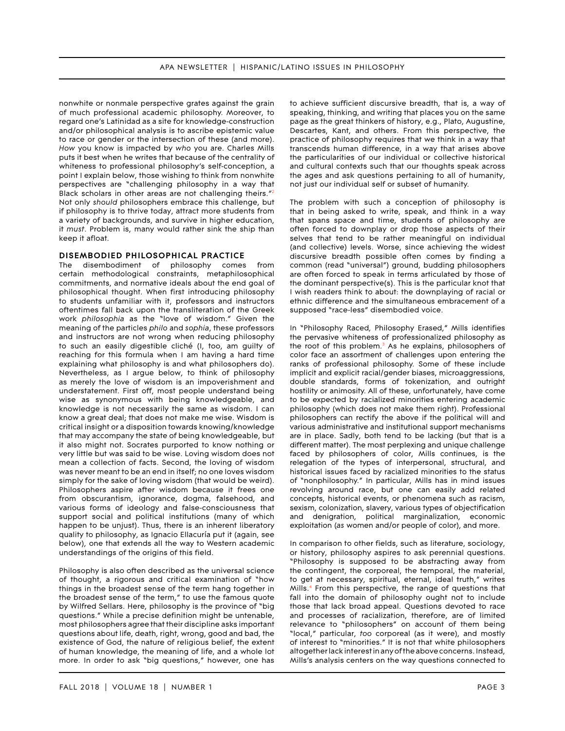nonwhite or nonmale perspective grates against the grain of much professional academic philosophy. Moreover, to regard one's Latinidad as a site for knowledge-construction and/or philosophical analysis is to ascribe epistemic value to race or gender or the intersection of these (and more). *How* you know is impacted by *who* you are. Charles Mills puts it best when he writes that because of the centrality of whiteness to professional philosophy's self-conception, a point I explain below, those wishing to think from nonwhite perspectives are "challenging philosophy in a way that Black scholars in other areas are not challenging theirs."<sup>2</sup> Not only *should* philosophers embrace this challenge, but if philosophy is to thrive today, attract more students from a variety of backgrounds, and survive in higher education, it *must*. Problem is, many would rather sink the ship than keep it afloat.

### **DISEMBODIED PHILOSOPHICAL PRACTICE**

The disembodiment of philosophy comes from certain methodological constraints, metaphilosophical commitments, and normative ideals about the end goal of philosophical thought. When first introducing philosophy to students unfamiliar with it, professors and instructors oftentimes fall back upon the transliteration of the Greek work *philosophia* as the "love of wisdom." Given the meaning of the particles *philo* and *sophia*, these professors and instructors are not wrong when reducing philosophy to such an easily digestible cliché (I, too, am guilty of reaching for this formula when I am having a hard time explaining what philosophy is and what philosophers do). Nevertheless, as I argue below, to think of philosophy as merely the love of wisdom is an impoverishment and understatement. First off, most people understand being wise as synonymous with being knowledgeable, and knowledge is not necessarily the same as wisdom. I can know a great deal; that does not make me wise. Wisdom is critical insight or a disposition towards knowing/knowledge that may accompany the state of being knowledgeable, but it also might not. Socrates purported to know nothing or very little but was said to be wise. Loving wisdom does not mean a collection of facts. Second, the loving of wisdom was never meant to be an end in itself; no one loves wisdom simply for the sake of loving wisdom (that would be weird). Philosophers aspire after wisdom because it frees one from obscurantism, ignorance, dogma, falsehood, and various forms of ideology and false-consciousness that support social and political institutions (many of which happen to be unjust). Thus, there is an inherent liberatory quality to philosophy, as Ignacio Ellacuría put it (again, see below), one that extends all the way to Western academic understandings of the origins of this field.

Philosophy is also often described as the universal science of thought, a rigorous and critical examination of "how things in the broadest sense of the term hang together in the broadest sense of the term," to use the famous quote by Wilfred Sellars. Here, philosophy is the province of "big questions." While a precise definition might be untenable, most philosophers agree that their discipline asks important questions about life, death, right, wrong, good and bad, the existence of God, the nature of religious belief, the extent of human knowledge, the meaning of life, and a whole lot more. In order to ask "big questions," however, one has

to achieve sufficient discursive breadth, that is, a way of speaking, thinking, and writing that places you on the same page as the great thinkers of history, e.g., Plato, Augustine, Descartes, Kant, and others. From this perspective, the practice of philosophy requires that we think in a way that transcends human difference, in a way that arises above the particularities of our individual or collective historical and cultural contexts such that our thoughts speak across the ages and ask questions pertaining to all of humanity, not just our individual self or subset of humanity.

The problem with such a conception of philosophy is that in being asked to write, speak, and think in a way that spans space and time, students of philosophy are often forced to downplay or drop those aspects of their selves that tend to be rather meaningful on individual (and collective) levels. Worse, since achieving the widest discursive breadth possible often comes by finding a common (read "universal") ground, budding philosophers are often forced to speak in terms articulated by those of the dominant perspective(s). This is the particular knot that I wish readers think to about: the downplaying of racial or ethnic difference and the simultaneous embracement of a supposed "race-less" disembodied voice.

In "Philosophy Raced, Philosophy Erased," Mills identifies the pervasive whiteness of professionalized philosophy as the root of this problem.<sup>3</sup> As he explains, philosophers of color face an assortment of challenges upon entering the ranks of professional philosophy. Some of these include implicit and explicit racial/gender biases, microaggressions, double standards, forms of tokenization, and outright hostility or animosity. All of these, unfortunately, have come to be expected by racialized minorities entering academic philosophy (which does not make them right). Professional philosophers can rectify the above if the political will and various administrative and institutional support mechanisms are in place. Sadly, both tend to be lacking (but that is a different matter). The most perplexing and unique challenge faced by philosophers of color, Mills continues, is the relegation of the types of interpersonal, structural, and historical issues faced by racialized minorities to the status of "nonphilosophy." In particular, Mills has in mind issues revolving around race, but one can easily add related concepts, historical events, or phenomena such as racism, sexism, colonization, slavery, various types of objectification and denigration, political marginalization, economic exploitation (*as* women and/or people of color), and more.

In comparison to other fields, such as literature, sociology, or history, philosophy aspires to ask perennial questions. "Philosophy is supposed to be abstracting away from the contingent, the corporeal, the temporal, the material, to get at necessary, spiritual, eternal, ideal truth," writes Mills.<sup>4</sup> From this perspective, the range of questions that fall into the domain of philosophy ought not to include those that lack broad appeal. Questions devoted to race and processes of racialization, therefore, are of limited relevance to "philosophers" on account of them being "local," particular, *too* corporeal (as it were), and mostly of interest to "minorities." It is not that white philosophers altogether lack interest in any of the above concerns. Instead, Mills's analysis centers on the way questions connected to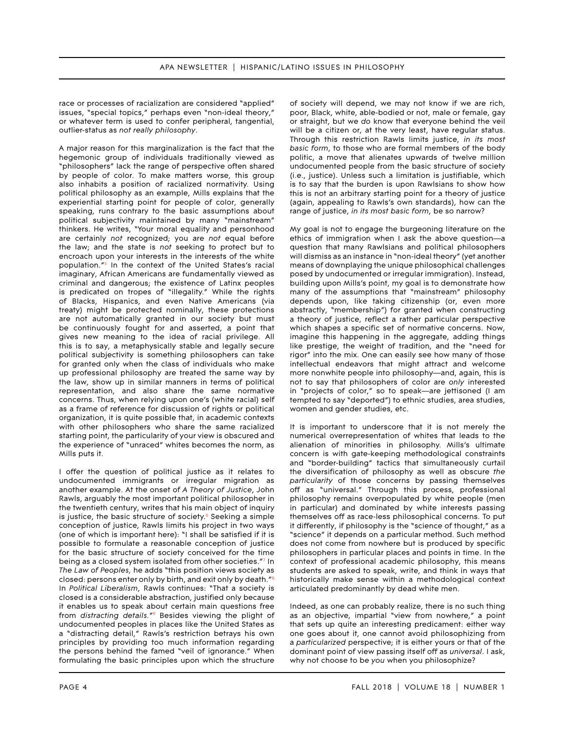race or processes of racialization are considered "applied" issues, "special topics," perhaps even "non-ideal theory," or whatever term is used to confer peripheral, tangential, outlier-status as *not really philosophy*.

A major reason for this marginalization is the fact that the hegemonic group of individuals traditionally viewed as "philosophers" lack the range of perspective often shared by people of color. To make matters worse, this group also inhabits a position of racialized normativity. Using political philosophy as an example, Mills explains that the experiential starting point for people of color, generally speaking, runs contrary to the basic assumptions about political subjectivity maintained by many "mainstream" thinkers. He writes, "Your moral equality and personhood are certainly *not* recognized; you are *not* equal before the law; and the state is *not* seeking to protect but to encroach upon your interests in the interests of the white population."5 In the context of the United States's racial imaginary, African Americans are fundamentally viewed as criminal and dangerous; the existence of Latinx peoples is predicated on tropes of "illegality." While the rights of Blacks, Hispanics, and even Native Americans (via treaty) might be protected nominally, these protections are not automatically granted in our society but must be continuously fought for and asserted, a point that gives new meaning to the idea of racial privilege. All this is to say, a metaphysically stable and legally secure political subjectivity is something philosophers can take for granted only when the class of individuals who make up professional philosophy are treated the same way by the law, show up in similar manners in terms of political representation, and also share the same normative concerns. Thus, when relying upon one's (white racial) self as a frame of reference for discussion of rights or political organization, it is quite possible that, in academic contexts with other philosophers who share the same racialized starting point, the particularity of your view is obscured and the experience of "unraced" whites becomes the norm, as Mills puts it.

I offer the question of political justice as it relates to undocumented immigrants or irregular migration as another example. At the onset of *A Theory of Justice*, John Rawls, arguably the most important political philosopher in the twentieth century, writes that his main object of inquiry is justice, the basic structure of society. $6$  Seeking a simple conception of justice, Rawls limits his project in two ways (one of which is important here): "I shall be satisfied if it is possible to formulate a reasonable conception of justice for the basic structure of society conceived for the time being as a closed system isolated from other societies."7 In *The Law of Peoples,* he adds "this position views society as closed: persons enter only by birth, and exit only by death."8 In *Political Liberalism*, Rawls continues: "That a society is closed is a considerable abstraction, justified only because it enables us to speak about certain main questions free from *distracting details.*"9 Besides viewing the plight of undocumented peoples in places like the United States as a "distracting detail," Rawls's restriction betrays his own principles by providing too much information regarding the persons behind the famed "veil of ignorance." When formulating the basic principles upon which the structure

of society will depend, we may not know if we are rich, poor, Black, white, able-bodied or not, male or female, gay or straight, but we *do* know that everyone behind the veil will be a citizen or, at the very least, have regular status. Through this restriction Rawls limits justice, *in its most basic form*, to those who are formal members of the body politic, a move that alienates upwards of twelve million undocumented people from the basic structure of society (i.e., justice). Unless such a limitation is justifiable, which is to say that the burden is upon Rawlsians to show how this is not an arbitrary starting point for a theory of justice (again, appealing to Rawls's own standards), how can the range of justice, *in its most basic form*, be so narrow?

My goal is not to engage the burgeoning literature on the ethics of immigration when I ask the above question—a question that many Rawlsians and political philosophers will dismiss as an instance in "non-ideal theory" (yet another means of downplaying the unique philosophical challenges posed by undocumented or irregular immigration). Instead, building upon Mills's point, my goal is to demonstrate how many of the assumptions that "mainstream" philosophy depends upon, like taking citizenship (or, even more abstractly, "membership") for granted when constructing a theory of justice, reflect a rather particular perspective which shapes a specific set of normative concerns. Now, imagine this happening in the aggregate, adding things like prestige, the weight of tradition, and the "need for rigor" into the mix. One can easily see how many of those intellectual endeavors that might attract and welcome more nonwhite people into philosophy—and, again, this is not to say that philosophers of color are *only* interested in "projects of color," so to speak—are jettisoned (I am tempted to say "deported") to ethnic studies, area studies, women and gender studies, etc.

It is important to underscore that it is not merely the numerical overrepresentation of whites that leads to the alienation of minorities in philosophy. Mills's ultimate concern is with gate-keeping methodological constraints and "border-building" tactics that simultaneously curtail the diversification of philosophy as well as obscure *the particularity* of those concerns by passing themselves off as "universal." Through this process, professional philosophy remains overpopulated by white people (men in particular) and dominated by white interests passing themselves off as race-less philosophical concerns. To put it differently, if philosophy is the "science of thought," as a "science" it depends on a particular method. Such method does not come from nowhere but is produced by specific philosophers in particular places and points in time. In the context of professional academic philosophy, this means students are asked to speak, write, and think in ways that historically make sense within a methodological context articulated predominantly by dead white men.

Indeed, as one can probably realize, there is no such thing as an objective, impartial "view from nowhere," a point that sets up quite an interesting predicament: either way one goes about it, one cannot avoid philosophizing from a *particularized* perspective; it is either yours or that of the dominant point of view passing itself off as *universal*. I ask, why not choose to be *you* when you philosophize?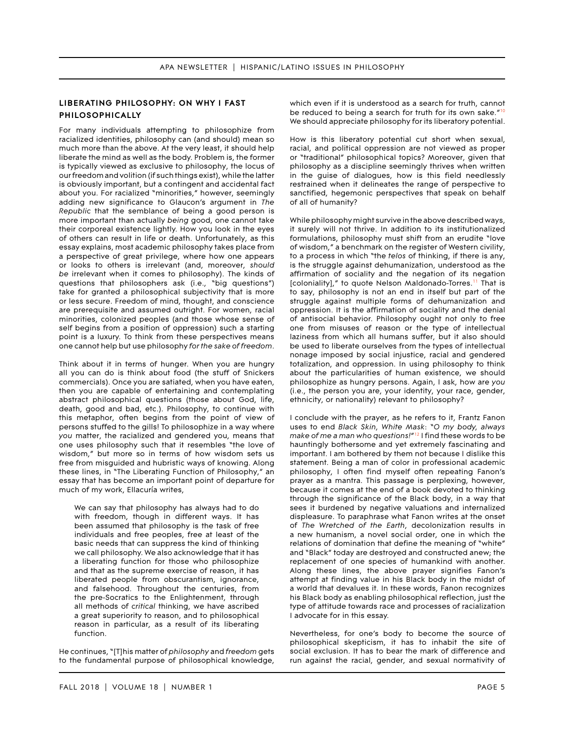## **LIBERATING PHILOSOPHY: ON WHY I FAST PHILOSOPHICALLY**

For many individuals attempting to philosophize from racialized identities, philosophy can (and should) mean so much more than the above. At the very least, it should help liberate the mind as well as the body. Problem is, the former is typically viewed as exclusive to philosophy, the locus of our freedom and volition (if such things exist), while the latter is obviously important, but a contingent and accidental fact about you. For racialized "minorities," however, seemingly adding new significance to Glaucon's argument in *The Republic* that the semblance of being a good person is more important than actually *being* good, one cannot take their corporeal existence lightly. How you look in the eyes of others can result in life or death. Unfortunately, as this essay explains, most academic philosophy takes place from a perspective of great privilege, where how one appears or looks to others is irrelevant (and, moreover, *should be* irrelevant when it comes to philosophy). The kinds of questions that philosophers ask (i.e., "big questions") take for granted a philosophical subjectivity that is more or less secure. Freedom of mind, thought, and conscience are prerequisite and assumed outright. For women, racial minorities, colonized peoples (and those whose sense of self begins from a position of oppression) such a starting point is a luxury. To think from these perspectives means one cannot help but use philosophy *for the sake of freedom*.

Think about it in terms of hunger. When you are hungry all you can do is think about food (the stuff of Snickers commercials). Once you are satiated, when you have eaten, then you are capable of entertaining and contemplating abstract philosophical questions (those about God, life, death, good and bad, etc.). Philosophy, to continue with this metaphor, often begins from the point of view of persons stuffed to the gills! To philosophize in a way where *you* matter, the racialized and gendered you, means that one uses philosophy such that it resembles "the love of wisdom," but more so in terms of how wisdom sets us free from misguided and hubristic ways of knowing. Along these lines, in "The Liberating Function of Philosophy," an essay that has become an important point of departure for much of my work, Ellacuría writes,

We can say that philosophy has always had to do with freedom, though in different ways. It has been assumed that philosophy is the task of free individuals and free peoples, free at least of the basic needs that can suppress the kind of thinking we call philosophy. We also acknowledge that it has a liberating function for those who philosophize and that as the supreme exercise of reason, it has liberated people from obscurantism, ignorance, and falsehood. Throughout the centuries, from the pre-Socratics to the Enlightenment, through all methods of *critical* thinking, we have ascribed a great superiority to reason, and to philosophical reason in particular, as a result of its liberating function.

He continues, "[T]his matter of *philosophy* and *freedom* gets to the fundamental purpose of philosophical knowledge, which even if it is understood as a search for truth, cannot be reduced to being a search for truth for its own sake."<sup>10</sup> We should appreciate philosophy for its liberatory potential.

How is this liberatory potential cut short when sexual, racial, and political oppression are not viewed as proper or "traditional" philosophical topics? Moreover, given that philosophy as a discipline seemingly thrives when written in the guise of dialogues, how is this field needlessly restrained when it delineates the range of perspective to sanctified, hegemonic perspectives that speak on behalf of all of humanity?

While philosophy might survive in the above described ways, it surely will not thrive. In addition to its institutionalized formulations, philosophy must shift from an erudite "love of wisdom," a benchmark on the register of Western civility, to a process in which "the *telos* of thinking, if there is any, is the struggle against dehumanization, understood as the affirmation of sociality and the negation of its negation [coloniality]," to quote Nelson Maldonado-Torres.<sup>11</sup> That is to say, philosophy is not an end in itself but part of the struggle against multiple forms of dehumanization and oppression. It is the affirmation of sociality and the denial of antisocial behavior. Philosophy ought not only to free one from misuses of reason or the type of intellectual laziness from which all humans suffer, but it also should be used to liberate ourselves from the types of intellectual nonage imposed by social injustice, racial and gendered totalization, and oppression. In using philosophy to think about the particularities of human existence, we should philosophize as hungry persons. Again, I ask, how are *you*  (i.e., the person you are, your identity, your race, gender, ethnicity, or nationality) relevant to philosophy?

I conclude with the prayer, as he refers to it, Frantz Fanon uses to end *Black Skin, White Mask*: "*O my body, always make of me a man who questions!*"12 I find these words to be hauntingly bothersome and yet extremely fascinating and important. I am bothered by them not because I dislike this statement. Being a man of color in professional academic philosophy, I often find myself often repeating Fanon's prayer as a mantra. This passage is perplexing, however, because it comes at the end of a book devoted to thinking through the significance of the Black body, in a way that sees it burdened by negative valuations and internalized displeasure. To paraphrase what Fanon writes at the onset of *The Wretched of the Earth*, decolonization results in a new humanism, a novel social order, one in which the relations of domination that define the meaning of "white" and "Black" today are destroyed and constructed anew; the replacement of one species of humankind with another. Along these lines, the above prayer signifies Fanon's attempt at finding value in his Black body in the midst of a world that devalues it. In these words, Fanon recognizes his Black body as enabling philosophical reflection, just the type of attitude towards race and processes of racialization I advocate for in this essay.

Nevertheless, for one's body to become the source of philosophical skepticism, it has to inhabit the site of social exclusion. It has to bear the mark of difference and run against the racial, gender, and sexual normativity of